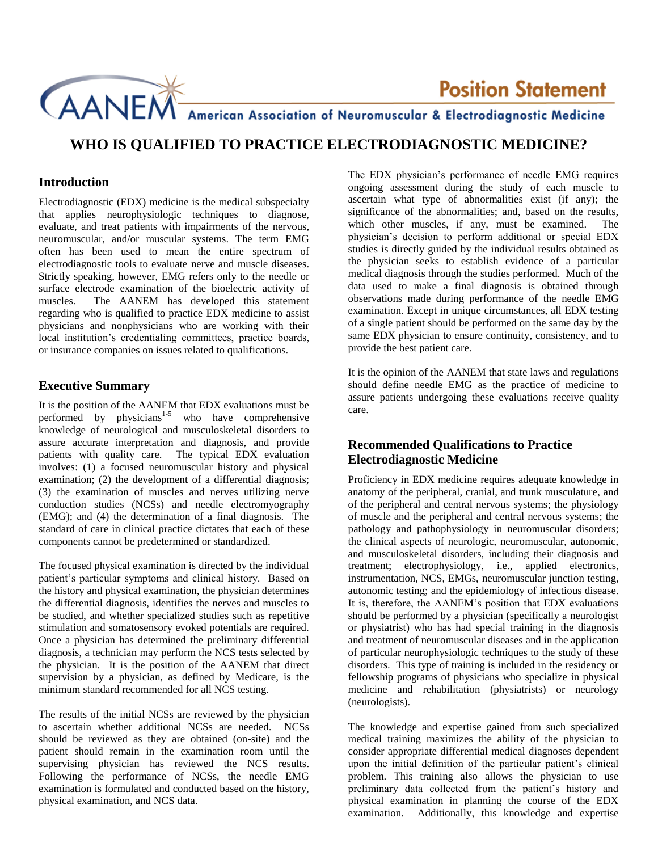

# **Example 12 Position Statement**<br>American Association of Neuromuscular & Electrodiagnostic Medicine

## **WHO IS QUALIFIED TO PRACTICE ELECTRODIAGNOSTIC MEDICINE?**

#### **Introduction**

Electrodiagnostic (EDX) medicine is the medical subspecialty that applies neurophysiologic techniques to diagnose, evaluate, and treat patients with impairments of the nervous, neuromuscular, and/or muscular systems. The term EMG often has been used to mean the entire spectrum of electrodiagnostic tools to evaluate nerve and muscle diseases. Strictly speaking, however, EMG refers only to the needle or surface electrode examination of the bioelectric activity of muscles. The AANEM has developed this statement regarding who is qualified to practice EDX medicine to assist physicians and nonphysicians who are working with their local institution's credentialing committees, practice boards, or insurance companies on issues related to qualifications.

#### **Executive Summary**

It is the position of the AANEM that EDX evaluations must be performed by physicians<sup>1-5</sup> who have comprehensive knowledge of neurological and musculoskeletal disorders to assure accurate interpretation and diagnosis, and provide patients with quality care. The typical EDX evaluation involves: (1) a focused neuromuscular history and physical examination; (2) the development of a differential diagnosis; (3) the examination of muscles and nerves utilizing nerve conduction studies (NCSs) and needle electromyography (EMG); and (4) the determination of a final diagnosis. The standard of care in clinical practice dictates that each of these components cannot be predetermined or standardized.

The focused physical examination is directed by the individual patient's particular symptoms and clinical history. Based on the history and physical examination, the physician determines the differential diagnosis, identifies the nerves and muscles to be studied, and whether specialized studies such as repetitive stimulation and somatosensory evoked potentials are required. Once a physician has determined the preliminary differential diagnosis, a technician may perform the NCS tests selected by the physician. It is the position of the AANEM that direct supervision by a physician, as defined by Medicare, is the minimum standard recommended for all NCS testing.

The results of the initial NCSs are reviewed by the physician to ascertain whether additional NCSs are needed. NCSs should be reviewed as they are obtained (on-site) and the patient should remain in the examination room until the supervising physician has reviewed the NCS results. Following the performance of NCSs, the needle EMG examination is formulated and conducted based on the history, physical examination, and NCS data.

The EDX physician's performance of needle EMG requires ongoing assessment during the study of each muscle to ascertain what type of abnormalities exist (if any); the significance of the abnormalities; and, based on the results, which other muscles, if any, must be examined. The physician's decision to perform additional or special EDX studies is directly guided by the individual results obtained as the physician seeks to establish evidence of a particular medical diagnosis through the studies performed. Much of the data used to make a final diagnosis is obtained through observations made during performance of the needle EMG examination. Except in unique circumstances, all EDX testing of a single patient should be performed on the same day by the same EDX physician to ensure continuity, consistency, and to provide the best patient care.

It is the opinion of the AANEM that state laws and regulations should define needle EMG as the practice of medicine to assure patients undergoing these evaluations receive quality care.

### **Recommended Qualifications to Practice Electrodiagnostic Medicine**

Proficiency in EDX medicine requires adequate knowledge in anatomy of the peripheral, cranial, and trunk musculature, and of the peripheral and central nervous systems; the physiology of muscle and the peripheral and central nervous systems; the pathology and pathophysiology in neuromuscular disorders; the clinical aspects of neurologic, neuromuscular, autonomic, and musculoskeletal disorders, including their diagnosis and treatment; electrophysiology, i.e., applied electronics, instrumentation, NCS, EMGs, neuromuscular junction testing, autonomic testing; and the epidemiology of infectious disease. It is, therefore, the AANEM's position that EDX evaluations should be performed by a physician (specifically a neurologist or physiatrist) who has had special training in the diagnosis and treatment of neuromuscular diseases and in the application of particular neurophysiologic techniques to the study of these disorders. This type of training is included in the residency or fellowship programs of physicians who specialize in physical medicine and rehabilitation (physiatrists) or neurology (neurologists).

The knowledge and expertise gained from such specialized medical training maximizes the ability of the physician to consider appropriate differential medical diagnoses dependent upon the initial definition of the particular patient's clinical problem. This training also allows the physician to use preliminary data collected from the patient's history and physical examination in planning the course of the EDX examination. Additionally, this knowledge and expertise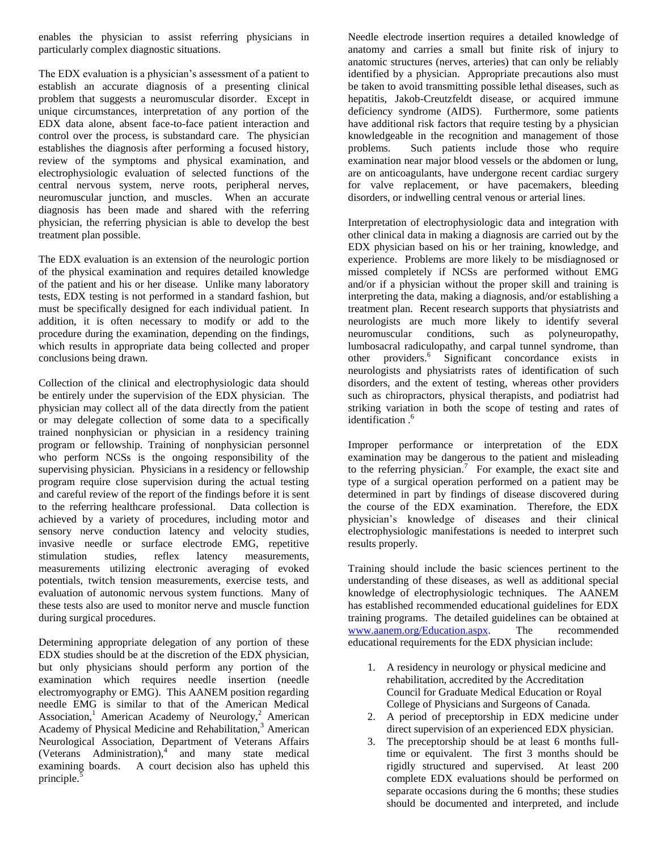enables the physician to assist referring physicians in particularly complex diagnostic situations.

The EDX evaluation is a physician's assessment of a patient to establish an accurate diagnosis of a presenting clinical problem that suggests a neuromuscular disorder. Except in unique circumstances, interpretation of any portion of the EDX data alone, absent face-to-face patient interaction and control over the process, is substandard care. The physician establishes the diagnosis after performing a focused history, review of the symptoms and physical examination, and electrophysiologic evaluation of selected functions of the central nervous system, nerve roots, peripheral nerves, neuromuscular junction, and muscles. When an accurate diagnosis has been made and shared with the referring physician, the referring physician is able to develop the best treatment plan possible.

The EDX evaluation is an extension of the neurologic portion of the physical examination and requires detailed knowledge of the patient and his or her disease. Unlike many laboratory tests, EDX testing is not performed in a standard fashion, but must be specifically designed for each individual patient. In addition, it is often necessary to modify or add to the procedure during the examination, depending on the findings, which results in appropriate data being collected and proper conclusions being drawn.

Collection of the clinical and electrophysiologic data should be entirely under the supervision of the EDX physician. The physician may collect all of the data directly from the patient or may delegate collection of some data to a specifically trained nonphysician or physician in a residency training program or fellowship. Training of nonphysician personnel who perform NCSs is the ongoing responsibility of the supervising physician. Physicians in a residency or fellowship program require close supervision during the actual testing and careful review of the report of the findings before it is sent to the referring healthcare professional. Data collection is achieved by a variety of procedures, including motor and sensory nerve conduction latency and velocity studies, invasive needle or surface electrode EMG, repetitive stimulation studies, reflex latency measurements, measurements utilizing electronic averaging of evoked potentials, twitch tension measurements, exercise tests, and evaluation of autonomic nervous system functions. Many of these tests also are used to monitor nerve and muscle function during surgical procedures.

Determining appropriate delegation of any portion of these EDX studies should be at the discretion of the EDX physician, but only physicians should perform any portion of the examination which requires needle insertion (needle electromyography or EMG). This AANEM position regarding needle EMG is similar to that of the American Medical Association,<sup>1</sup> American Academy of Neurology,<sup>2</sup> American Academy of Physical Medicine and Rehabilitation,<sup>3</sup> American Neurological Association, Department of Veterans Affairs (Veterans Administration), $\int$  and many state medical examining boards. A court decision also has upheld this principle.<sup>5</sup>

Needle electrode insertion requires a detailed knowledge of anatomy and carries a small but finite risk of injury to anatomic structures (nerves, arteries) that can only be reliably identified by a physician. Appropriate precautions also must be taken to avoid transmitting possible lethal diseases, such as hepatitis, Jakob-Creutzfeldt disease, or acquired immune deficiency syndrome (AIDS). Furthermore, some patients have additional risk factors that require testing by a physician knowledgeable in the recognition and management of those problems. Such patients include those who require examination near major blood vessels or the abdomen or lung, are on anticoagulants, have undergone recent cardiac surgery for valve replacement, or have pacemakers, bleeding disorders, or indwelling central venous or arterial lines.

Interpretation of electrophysiologic data and integration with other clinical data in making a diagnosis are carried out by the EDX physician based on his or her training, knowledge, and experience. Problems are more likely to be misdiagnosed or missed completely if NCSs are performed without EMG and/or if a physician without the proper skill and training is interpreting the data, making a diagnosis, and/or establishing a treatment plan. Recent research supports that physiatrists and neurologists are much more likely to identify several neuromuscular conditions, such as polyneuropathy, lumbosacral radiculopathy, and carpal tunnel syndrome, than other providers. 6 Significant concordance exists in neurologists and physiatrists rates of identification of such disorders, and the extent of testing, whereas other providers such as chiropractors, physical therapists, and podiatrist had striking variation in both the scope of testing and rates of identification.<sup>6</sup>

Improper performance or interpretation of the EDX examination may be dangerous to the patient and misleading to the referring physician.<sup>7</sup> For example, the exact site and type of a surgical operation performed on a patient may be determined in part by findings of disease discovered during the course of the EDX examination. Therefore, the EDX physician's knowledge of diseases and their clinical electrophysiologic manifestations is needed to interpret such results properly.

Training should include the basic sciences pertinent to the understanding of these diseases, as well as additional special knowledge of electrophysiologic techniques. The AANEM has established recommended educational guidelines for EDX training programs. The detailed guidelines can be obtained at [www.aanem.org/Education.aspx.](http://www.aanem.org/Education.aspx) The recommended educational requirements for the EDX physician include:

- 1. A residency in neurology or physical medicine and rehabilitation, accredited by the Accreditation Council for Graduate Medical Education or Royal College of Physicians and Surgeons of Canada.
- 2. A period of preceptorship in EDX medicine under direct supervision of an experienced EDX physician.
- 3. The preceptorship should be at least 6 months fulltime or equivalent. The first 3 months should be rigidly structured and supervised. At least 200 complete EDX evaluations should be performed on separate occasions during the 6 months; these studies should be documented and interpreted, and include